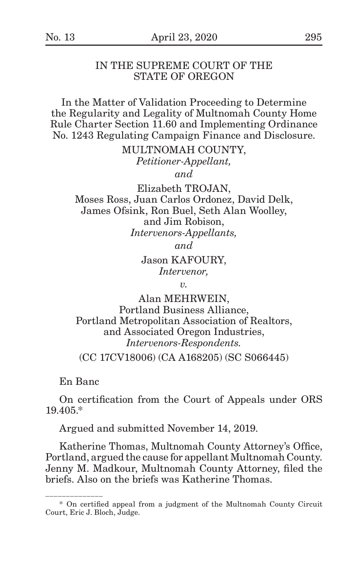#### IN THE SUPREME COURT OF THE STATE OF OREGON

In the Matter of Validation Proceeding to Determine the Regularity and Legality of Multnomah County Home Rule Charter Section 11.60 and Implementing Ordinance No. 1243 Regulating Campaign Finance and Disclosure.

> MULTNOMAH COUNTY, *Petitioner-Appellant, and*

Elizabeth TROJAN, Moses Ross, Juan Carlos Ordonez, David Delk, James Ofsink, Ron Buel, Seth Alan Woolley, and Jim Robison, *Intervenors-Appellants,*

*and*

Jason KAFOURY, *Intervenor,*

*v.*

Alan MEHRWEIN, Portland Business Alliance, Portland Metropolitan Association of Realtors, and Associated Oregon Industries, *Intervenors-Respondents.* (CC 17CV18006) (CA A168205) (SC S066445)

En Banc

\_\_\_\_\_\_\_\_\_\_\_\_\_\_

On certification from the Court of Appeals under ORS 19.405.\*

Argued and submitted November 14, 2019.

Katherine Thomas, Multnomah County Attorney's Office, Portland, argued the cause for appellant Multnomah County. Jenny M. Madkour, Multnomah County Attorney, filed the briefs. Also on the briefs was Katherine Thomas.

<sup>\*</sup> On certified appeal from a judgment of the Multnomah County Circuit Court, Eric J. Bloch, Judge.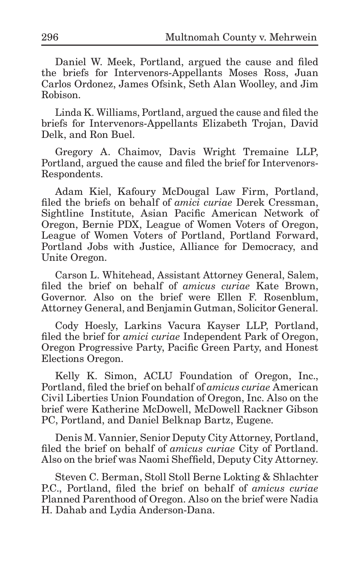Daniel W. Meek, Portland, argued the cause and filed the briefs for Intervenors-Appellants Moses Ross, Juan Carlos Ordonez, James Ofsink, Seth Alan Woolley, and Jim Robison.

Linda K. Williams, Portland, argued the cause and filed the briefs for Intervenors-Appellants Elizabeth Trojan, David Delk, and Ron Buel.

Gregory A. Chaimov, Davis Wright Tremaine LLP, Portland, argued the cause and filed the brief for Intervenors-Respondents.

Adam Kiel, Kafoury McDougal Law Firm, Portland, filed the briefs on behalf of *amici curiae* Derek Cressman, Sightline Institute, Asian Pacific American Network of Oregon, Bernie PDX, League of Women Voters of Oregon, League of Women Voters of Portland, Portland Forward, Portland Jobs with Justice, Alliance for Democracy, and Unite Oregon.

Carson L. Whitehead, Assistant Attorney General, Salem, filed the brief on behalf of *amicus curiae* Kate Brown, Governor. Also on the brief were Ellen F. Rosenblum, Attorney General, and Benjamin Gutman, Solicitor General.

Cody Hoesly, Larkins Vacura Kayser LLP, Portland, filed the brief for *amici curiae* Independent Park of Oregon, Oregon Progressive Party, Pacific Green Party, and Honest Elections Oregon.

Kelly K. Simon, ACLU Foundation of Oregon, Inc., Portland, filed the brief on behalf of *amicus curiae* American Civil Liberties Union Foundation of Oregon, Inc. Also on the brief were Katherine McDowell, McDowell Rackner Gibson PC, Portland, and Daniel Belknap Bartz, Eugene.

Denis M. Vannier, Senior Deputy City Attorney, Portland, filed the brief on behalf of *amicus curiae* City of Portland. Also on the brief was Naomi Sheffield, Deputy City Attorney.

Steven C. Berman, Stoll Stoll Berne Lokting & Shlachter P.C., Portland, filed the brief on behalf of *amicus curiae* Planned Parenthood of Oregon. Also on the brief were Nadia H. Dahab and Lydia Anderson-Dana.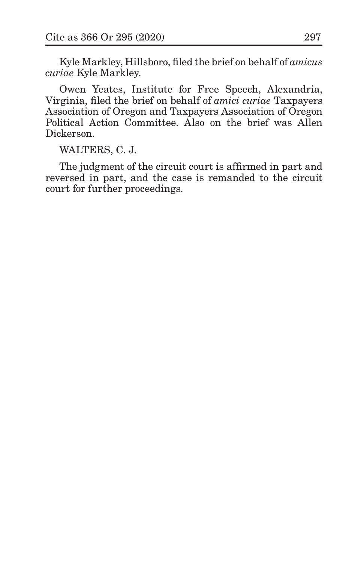Kyle Markley, Hillsboro, filed the brief on behalf of *amicus curiae* Kyle Markley.

Owen Yeates, Institute for Free Speech, Alexandria, Virginia, filed the brief on behalf of *amici curiae* Taxpayers Association of Oregon and Taxpayers Association of Oregon Political Action Committee. Also on the brief was Allen Dickerson.

WALTERS, C. J.

The judgment of the circuit court is affirmed in part and reversed in part, and the case is remanded to the circuit court for further proceedings.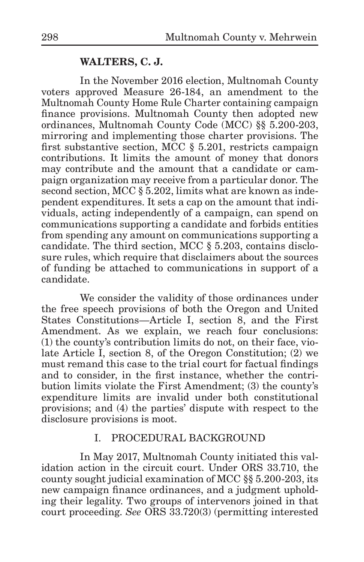### **WALTERS, C. J.**

In the November 2016 election, Multnomah County voters approved Measure 26-184, an amendment to the Multnomah County Home Rule Charter containing campaign finance provisions. Multnomah County then adopted new ordinances, Multnomah County Code (MCC) §§ 5.200-203, mirroring and implementing those charter provisions. The first substantive section, MCC § 5.201, restricts campaign contributions. It limits the amount of money that donors may contribute and the amount that a candidate or campaign organization may receive from a particular donor. The second section, MCC § 5.202, limits what are known as independent expenditures. It sets a cap on the amount that individuals, acting independently of a campaign, can spend on communications supporting a candidate and forbids entities from spending any amount on communications supporting a candidate. The third section, MCC § 5.203, contains disclosure rules, which require that disclaimers about the sources of funding be attached to communications in support of a candidate.

We consider the validity of those ordinances under the free speech provisions of both the Oregon and United States Constitutions—Article I, section 8, and the First Amendment. As we explain, we reach four conclusions: (1) the county's contribution limits do not, on their face, violate Article I, section 8, of the Oregon Constitution; (2) we must remand this case to the trial court for factual findings and to consider, in the first instance, whether the contribution limits violate the First Amendment; (3) the county's expenditure limits are invalid under both constitutional provisions; and (4) the parties' dispute with respect to the disclosure provisions is moot.

#### I. PROCEDURAL BACKGROUND

In May 2017, Multnomah County initiated this validation action in the circuit court. Under ORS 33.710, the county sought judicial examination of MCC §§ 5.200-203, its new campaign finance ordinances, and a judgment upholding their legality. Two groups of intervenors joined in that court proceeding. *See* ORS 33.720(3) (permitting interested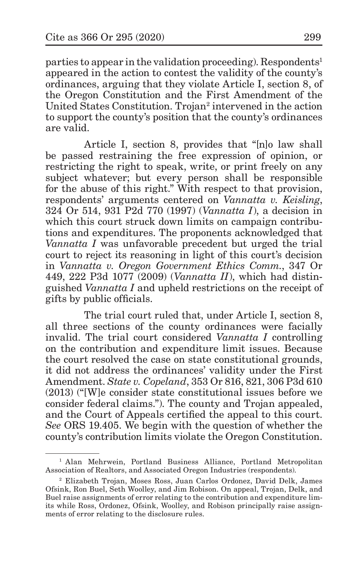parties to appear in the validation proceeding). Respondents<sup>1</sup> appeared in the action to contest the validity of the county's ordinances, arguing that they violate Article I, section 8, of the Oregon Constitution and the First Amendment of the United States Constitution. Trojan<sup>2</sup> intervened in the action to support the county's position that the county's ordinances are valid.

Article I, section 8, provides that "[n]o law shall be passed restraining the free expression of opinion, or restricting the right to speak, write, or print freely on any subject whatever; but every person shall be responsible for the abuse of this right." With respect to that provision, respondents' arguments centered on *Vannatta v. Keisling*, 324 Or 514, 931 P2d 770 (1997) (*Vannatta I*), a decision in which this court struck down limits on campaign contributions and expenditures. The proponents acknowledged that *Vannatta I* was unfavorable precedent but urged the trial court to reject its reasoning in light of this court's decision in *Vannatta v. Oregon Government Ethics Comm.*, 347 Or 449, 222 P3d 1077 (2009) (*Vannatta II*), which had distinguished *Vannatta I* and upheld restrictions on the receipt of gifts by public officials.

The trial court ruled that, under Article I, section 8, all three sections of the county ordinances were facially invalid. The trial court considered *Vannatta I* controlling on the contribution and expenditure limit issues. Because the court resolved the case on state constitutional grounds, it did not address the ordinances' validity under the First Amendment. *State v. Copeland*, 353 Or 816, 821, 306 P3d 610 (2013) ("[W]e consider state constitutional issues before we consider federal claims."). The county and Trojan appealed, and the Court of Appeals certified the appeal to this court. *See* ORS 19.405. We begin with the question of whether the county's contribution limits violate the Oregon Constitution.

<sup>&</sup>lt;sup>1</sup> Alan Mehrwein, Portland Business Alliance, Portland Metropolitan Association of Realtors, and Associated Oregon Industries (respondents).

<sup>2</sup> Elizabeth Trojan, Moses Ross, Juan Carlos Ordonez, David Delk, James Ofsink, Ron Buel, Seth Woolley, and Jim Robison. On appeal, Trojan, Delk, and Buel raise assignments of error relating to the contribution and expenditure limits while Ross, Ordonez, Ofsink, Woolley, and Robison principally raise assignments of error relating to the disclosure rules.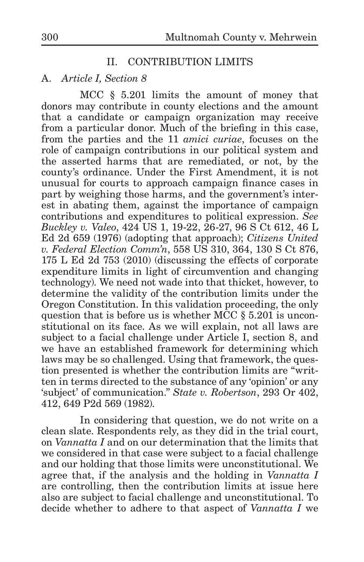# II. CONTRIBUTION LIMITS

#### A. *Article I, Section 8*

MCC § 5.201 limits the amount of money that donors may contribute in county elections and the amount that a candidate or campaign organization may receive from a particular donor. Much of the briefing in this case, from the parties and the 11 *amici curiae*, focuses on the role of campaign contributions in our political system and the asserted harms that are remediated, or not, by the county's ordinance. Under the First Amendment, it is not unusual for courts to approach campaign finance cases in part by weighing those harms, and the government's interest in abating them, against the importance of campaign contributions and expenditures to political expression. *See Buckley v. Valeo*, 424 US 1, 19-22, 26-27, 96 S Ct 612, 46 L Ed 2d 659 (1976) (adopting that approach); *Citizens United v. Federal Election Comm'n*, 558 US 310, 364, 130 S Ct 876, 175 L Ed 2d 753 (2010) (discussing the effects of corporate expenditure limits in light of circumvention and changing technology). We need not wade into that thicket, however, to determine the validity of the contribution limits under the Oregon Constitution. In this validation proceeding, the only question that is before us is whether MCC § 5.201 is unconstitutional on its face. As we will explain, not all laws are subject to a facial challenge under Article I, section 8, and we have an established framework for determining which laws may be so challenged. Using that framework, the question presented is whether the contribution limits are "written in terms directed to the substance of any 'opinion' or any 'subject' of communication." *State v. Robertson*, 293 Or 402, 412, 649 P2d 569 (1982).

In considering that question, we do not write on a clean slate. Respondents rely, as they did in the trial court, on *Vannatta I* and on our determination that the limits that we considered in that case were subject to a facial challenge and our holding that those limits were unconstitutional. We agree that, if the analysis and the holding in *Vannatta I*  are controlling, then the contribution limits at issue here also are subject to facial challenge and unconstitutional. To decide whether to adhere to that aspect of *Vannatta I* we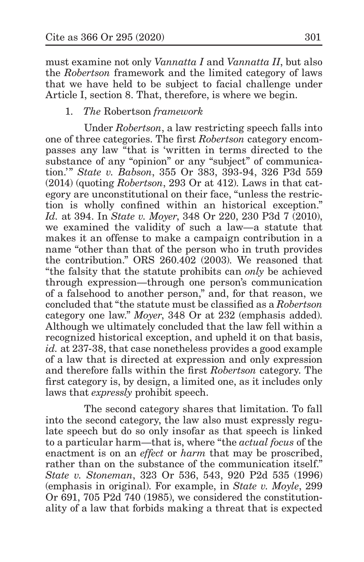must examine not only *Vannatta I* and *Vannatta II*, but also the *Robertson* framework and the limited category of laws that we have held to be subject to facial challenge under Article I, section 8. That, therefore, is where we begin.

## 1. *The* Robertson *framework*

Under *Robertson*, a law restricting speech falls into one of three categories. The first *Robertson* category encompasses any law "that is 'written in terms directed to the substance of any "opinion" or any "subject" of communication.'" *State v. Babson*, 355 Or 383, 393-94, 326 P3d 559 (2014) (quoting *Robertson*, 293 Or at 412). Laws in that category are unconstitutional on their face, "unless the restriction is wholly confined within an historical exception." *Id.* at 394. In *State v. Moyer*, 348 Or 220, 230 P3d 7 (2010), we examined the validity of such a law—a statute that makes it an offense to make a campaign contribution in a name "other than that of the person who in truth provides the contribution." ORS 260.402 (2003). We reasoned that "the falsity that the statute prohibits can *only* be achieved through expression—through one person's communication of a falsehood to another person," and, for that reason, we concluded that "the statute must be classified as a *Robertson* category one law." *Moyer*, 348 Or at 232 (emphasis added). Although we ultimately concluded that the law fell within a recognized historical exception, and upheld it on that basis, *id.* at 237-38, that case nonetheless provides a good example of a law that is directed at expression and only expression and therefore falls within the first *Robertson* category. The first category is, by design, a limited one, as it includes only laws that *expressly* prohibit speech.

The second category shares that limitation. To fall into the second category, the law also must expressly regulate speech but do so only insofar as that speech is linked to a particular harm—that is, where "the *actual focus* of the enactment is on an *effect* or *harm* that may be proscribed, rather than on the substance of the communication itself." *State v. Stoneman*, 323 Or 536, 543, 920 P2d 535 (1996) (emphasis in original). For example, in *State v. Moyle*, 299 Or 691, 705 P2d 740 (1985), we considered the constitutionality of a law that forbids making a threat that is expected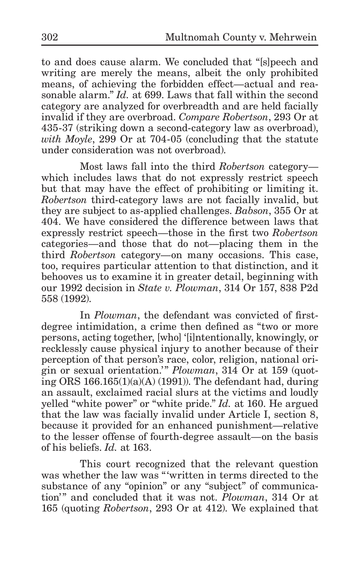to and does cause alarm. We concluded that "[s]peech and writing are merely the means, albeit the only prohibited means, of achieving the forbidden effect—actual and reasonable alarm." *Id.* at 699. Laws that fall within the second category are analyzed for overbreadth and are held facially invalid if they are overbroad. *Compare Robertson*, 293 Or at 435-37 (striking down a second-category law as overbroad), *with Moyle*, 299 Or at 704-05 (concluding that the statute under consideration was not overbroad).

Most laws fall into the third *Robertson* category which includes laws that do not expressly restrict speech but that may have the effect of prohibiting or limiting it. *Robertson* third-category laws are not facially invalid, but they are subject to as-applied challenges. *Babson*, 355 Or at 404. We have considered the difference between laws that expressly restrict speech—those in the first two *Robertson*  categories—and those that do not—placing them in the third *Robertson* category—on many occasions. This case, too, requires particular attention to that distinction, and it behooves us to examine it in greater detail, beginning with our 1992 decision in *State v. Plowman*, 314 Or 157, 838 P2d 558 (1992).

In *Plowman*, the defendant was convicted of firstdegree intimidation, a crime then defined as "two or more persons, acting together, [who] '[i]ntentionally, knowingly, or recklessly cause physical injury to another because of their perception of that person's race, color, religion, national origin or sexual orientation.'" *Plowman*, 314 Or at 159 (quoting ORS 166.165(1)(a)(A) (1991)). The defendant had, during an assault, exclaimed racial slurs at the victims and loudly yelled "white power" or "white pride." *Id.* at 160. He argued that the law was facially invalid under Article I, section 8, because it provided for an enhanced punishment—relative to the lesser offense of fourth-degree assault—on the basis of his beliefs. *Id.* at 163.

This court recognized that the relevant question was whether the law was "'written in terms directed to the substance of any "opinion" or any "subject" of communication'" and concluded that it was not. *Plowman*, 314 Or at 165 (quoting *Robertson*, 293 Or at 412). We explained that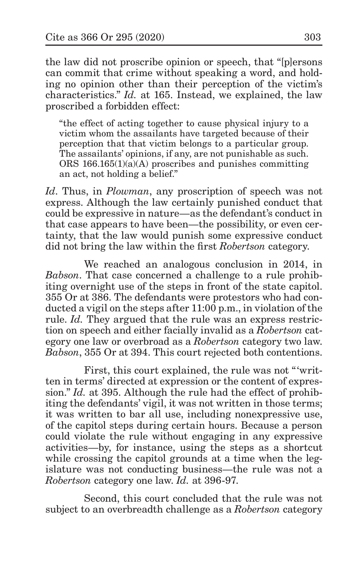the law did not proscribe opinion or speech, that "[p]ersons can commit that crime without speaking a word, and holding no opinion other than their perception of the victim's characteristics." *Id.* at 165. Instead, we explained, the law proscribed a forbidden effect:

"the effect of acting together to cause physical injury to a victim whom the assailants have targeted because of their perception that that victim belongs to a particular group. The assailants' opinions, if any, are not punishable as such. ORS 166.165(1)(a)(A) proscribes and punishes committing an act, not holding a belief."

*Id*. Thus, in *Plowman*, any proscription of speech was not express. Although the law certainly punished conduct that could be expressive in nature—as the defendant's conduct in that case appears to have been—the possibility, or even certainty, that the law would punish some expressive conduct did not bring the law within the first *Robertson* category.

We reached an analogous conclusion in 2014, in *Babson*. That case concerned a challenge to a rule prohibiting overnight use of the steps in front of the state capitol. 355 Or at 386. The defendants were protestors who had conducted a vigil on the steps after 11:00 p.m., in violation of the rule. *Id.* They argued that the rule was an express restriction on speech and either facially invalid as a *Robertson* category one law or overbroad as a *Robertson* category two law. *Babson*, 355 Or at 394. This court rejected both contentions.

First, this court explained, the rule was not "'written in terms' directed at expression or the content of expression." *Id.* at 395. Although the rule had the effect of prohibiting the defendants' vigil, it was not written in those terms; it was written to bar all use, including nonexpressive use, of the capitol steps during certain hours. Because a person could violate the rule without engaging in any expressive activities—by, for instance, using the steps as a shortcut while crossing the capitol grounds at a time when the legislature was not conducting business—the rule was not a *Robertson* category one law. *Id.* at 396-97.

Second, this court concluded that the rule was not subject to an overbreadth challenge as a *Robertson* category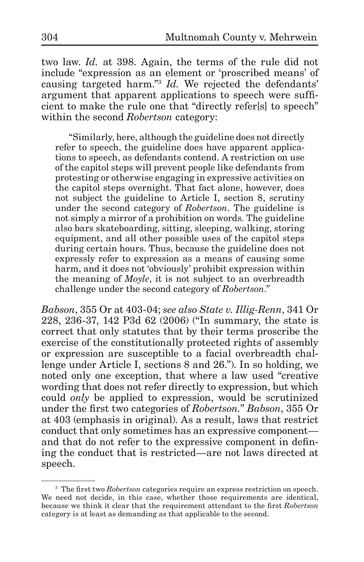two law. *Id.* at 398. Again, the terms of the rule did not include "expression as an element or 'proscribed means' of causing targeted harm."3 *Id.* We rejected the defendants' argument that apparent applications to speech were sufficient to make the rule one that "directly refersed" to speech" within the second *Robertson* category:

"Similarly, here, although the guideline does not directly refer to speech, the guideline does have apparent applications to speech, as defendants contend. A restriction on use of the capitol steps will prevent people like defendants from protesting or otherwise engaging in expressive activities on the capitol steps overnight. That fact alone, however, does not subject the guideline to Article I, section 8, scrutiny under the second category of *Robertson*. The guideline is not simply a mirror of a prohibition on words. The guideline also bars skateboarding, sitting, sleeping, walking, storing equipment, and all other possible uses of the capitol steps during certain hours. Thus, because the guideline does not expressly refer to expression as a means of causing some harm, and it does not 'obviously' prohibit expression within the meaning of *Moyle*, it is not subject to an overbreadth challenge under the second category of *Robertson*."

*Babson*, 355 Or at 403-04; *see also State v. Illig-Renn*, 341 Or 228, 236-37, 142 P3d 62 (2006) ("In summary, the state is correct that only statutes that by their terms proscribe the exercise of the constitutionally protected rights of assembly or expression are susceptible to a facial overbreadth challenge under Article I, sections 8 and 26."). In so holding, we noted only one exception, that where a law used "creative wording that does not refer directly to expression, but which could *only* be applied to expression, would be scrutinized under the first two categories of *Robertson.*" *Babson*, 355 Or at 403 (emphasis in original). As a result, laws that restrict conduct that only sometimes has an expressive component and that do not refer to the expressive component in defining the conduct that is restricted—are not laws directed at speech.

<sup>3</sup> The first two *Robertson* categories require an express restriction on speech. We need not decide, in this case, whether those requirements are identical, because we think it clear that the requirement attendant to the first *Robertson*  category is at least as demanding as that applicable to the second.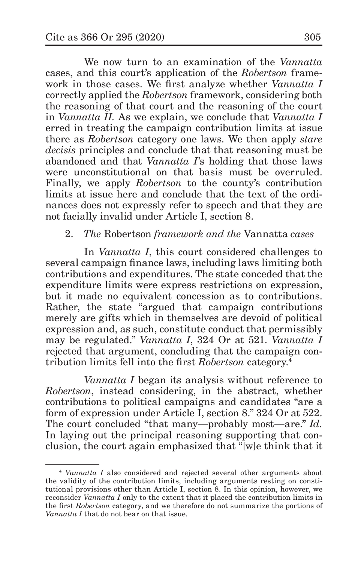We now turn to an examination of the *Vannatta*  cases, and this court's application of the *Robertson* framework in those cases. We first analyze whether *Vannatta I*  correctly applied the *Robertson* framework, considering both the reasoning of that court and the reasoning of the court in *Vannatta II.* As we explain, we conclude that *Vannatta I* erred in treating the campaign contribution limits at issue there as *Robertson* category one laws. We then apply *stare decisis* principles and conclude that that reasoning must be abandoned and that *Vannatta I*'s holding that those laws were unconstitutional on that basis must be overruled. Finally, we apply *Robertson* to the county's contribution limits at issue here and conclude that the text of the ordinances does not expressly refer to speech and that they are not facially invalid under Article I, section 8.

# 2. *The* Robertson *framework and the* Vannatta *cases*

In *Vannatta I*, this court considered challenges to several campaign finance laws, including laws limiting both contributions and expenditures. The state conceded that the expenditure limits were express restrictions on expression, but it made no equivalent concession as to contributions. Rather, the state "argued that campaign contributions merely are gifts which in themselves are devoid of political expression and, as such, constitute conduct that permissibly may be regulated." *Vannatta I*, 324 Or at 521. *Vannatta I*  rejected that argument, concluding that the campaign contribution limits fell into the first *Robertson* category.4

*Vannatta I* began its analysis without reference to *Robertson*, instead considering, in the abstract, whether contributions to political campaigns and candidates "are a form of expression under Article I, section 8." 324 Or at 522. The court concluded "that many—probably most—are." *Id.* In laying out the principal reasoning supporting that conclusion, the court again emphasized that "[w]e think that it

<sup>4</sup> *Vannatta I* also considered and rejected several other arguments about the validity of the contribution limits, including arguments resting on constitutional provisions other than Article I, section 8. In this opinion, however, we reconsider *Vannatta I* only to the extent that it placed the contribution limits in the first *Robertson* category, and we therefore do not summarize the portions of *Vannatta I* that do not bear on that issue.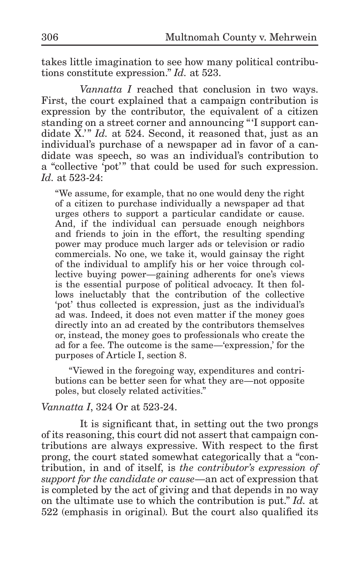takes little imagination to see how many political contributions constitute expression." *Id.* at 523.

*Vannatta I* reached that conclusion in two ways. First, the court explained that a campaign contribution is expression by the contributor, the equivalent of a citizen standing on a street corner and announcing "'I support candidate X<sup>'</sup> *Id.* at 524. Second, it reasoned that, just as an individual's purchase of a newspaper ad in favor of a candidate was speech, so was an individual's contribution to a "collective 'pot'" that could be used for such expression. *Id.* at 523-24:

"We assume, for example, that no one would deny the right of a citizen to purchase individually a newspaper ad that urges others to support a particular candidate or cause. And, if the individual can persuade enough neighbors and friends to join in the effort, the resulting spending power may produce much larger ads or television or radio commercials. No one, we take it, would gainsay the right of the individual to amplify his or her voice through collective buying power—gaining adherents for one's views is the essential purpose of political advocacy. It then follows ineluctably that the contribution of the collective 'pot' thus collected is expression, just as the individual's ad was. Indeed, it does not even matter if the money goes directly into an ad created by the contributors themselves or, instead, the money goes to professionals who create the ad for a fee. The outcome is the same—'expression,' for the purposes of Article I, section 8.

"Viewed in the foregoing way, expenditures and contributions can be better seen for what they are—not opposite poles, but closely related activities."

#### *Vannatta I*, 324 Or at 523-24.

It is significant that, in setting out the two prongs of its reasoning, this court did not assert that campaign contributions are always expressive. With respect to the first prong, the court stated somewhat categorically that a "contribution, in and of itself, is *the contributor's expression of support for the candidate or cause*—an act of expression that is completed by the act of giving and that depends in no way on the ultimate use to which the contribution is put." *Id.* at 522 (emphasis in original). But the court also qualified its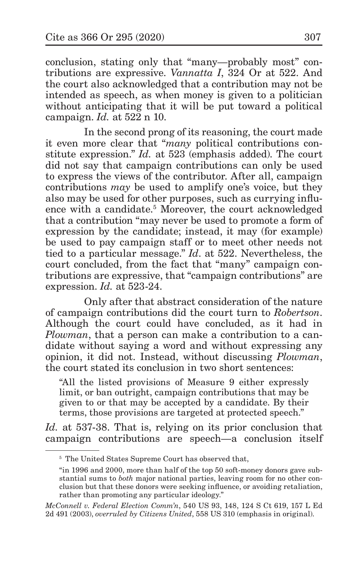conclusion, stating only that "many—probably most" contributions are expressive. *Vannatta I*, 324 Or at 522. And the court also acknowledged that a contribution may not be intended as speech, as when money is given to a politician without anticipating that it will be put toward a political campaign. *Id.* at 522 n 10.

In the second prong of its reasoning, the court made it even more clear that "*many* political contributions constitute expression." *Id.* at 523 (emphasis added). The court did not say that campaign contributions can only be used to express the views of the contributor. After all, campaign contributions *may* be used to amplify one's voice, but they also may be used for other purposes, such as currying influence with a candidate.<sup>5</sup> Moreover, the court acknowledged that a contribution "may never be used to promote a form of expression by the candidate; instead, it may (for example) be used to pay campaign staff or to meet other needs not tied to a particular message." *Id*. at 522. Nevertheless, the court concluded, from the fact that "many" campaign contributions are expressive, that "campaign contributions" are expression. *Id.* at 523-24.

Only after that abstract consideration of the nature of campaign contributions did the court turn to *Robertson*. Although the court could have concluded, as it had in *Plowman*, that a person can make a contribution to a candidate without saying a word and without expressing any opinion, it did not. Instead, without discussing *Plowman*, the court stated its conclusion in two short sentences:

"All the listed provisions of Measure 9 either expressly limit, or ban outright, campaign contributions that may be given to or that may be accepted by a candidate. By their terms, those provisions are targeted at protected speech."

*Id.* at 537-38. That is, relying on its prior conclusion that campaign contributions are speech—a conclusion itself

<sup>5</sup> The United States Supreme Court has observed that,

<sup>&</sup>quot;in 1996 and 2000, more than half of the top 50 soft-money donors gave substantial sums to *both* major national parties, leaving room for no other conclusion but that these donors were seeking influence, or avoiding retaliation, rather than promoting any particular ideology."

*McConnell v. Federal Election Comm'n*, 540 US 93, 148, 124 S Ct 619, 157 L Ed 2d 491 (2003), *overruled by Citizens United*, 558 US 310 (emphasis in original).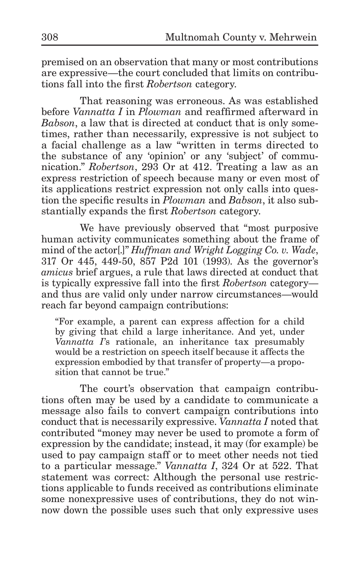premised on an observation that many or most contributions are expressive—the court concluded that limits on contributions fall into the first *Robertson* category.

That reasoning was erroneous. As was established before *Vannatta I* in *Plowman* and reaffirmed afterward in *Babson*, a law that is directed at conduct that is only sometimes, rather than necessarily, expressive is not subject to a facial challenge as a law "written in terms directed to the substance of any 'opinion' or any 'subject' of communication." *Robertson*, 293 Or at 412. Treating a law as an express restriction of speech because many or even most of its applications restrict expression not only calls into question the specific results in *Plowman* and *Babson*, it also substantially expands the first *Robertson* category.

We have previously observed that "most purposive human activity communicates something about the frame of mind of the actor[.]" *Huffman and Wright Logging Co. v. Wade*, 317 Or 445, 449-50, 857 P2d 101 (1993). As the governor's *amicus* brief argues, a rule that laws directed at conduct that is typically expressive fall into the first *Robertson* category and thus are valid only under narrow circumstances—would reach far beyond campaign contributions:

"For example, a parent can express affection for a child by giving that child a large inheritance. And yet, under *Vannatta I*'s rationale, an inheritance tax presumably would be a restriction on speech itself because it affects the expression embodied by that transfer of property—a proposition that cannot be true."

The court's observation that campaign contributions often may be used by a candidate to communicate a message also fails to convert campaign contributions into conduct that is necessarily expressive. *Vannatta I* noted that contributed "money may never be used to promote a form of expression by the candidate; instead, it may (for example) be used to pay campaign staff or to meet other needs not tied to a particular message." *Vannatta I*, 324 Or at 522. That statement was correct: Although the personal use restrictions applicable to funds received as contributions eliminate some nonexpressive uses of contributions, they do not winnow down the possible uses such that only expressive uses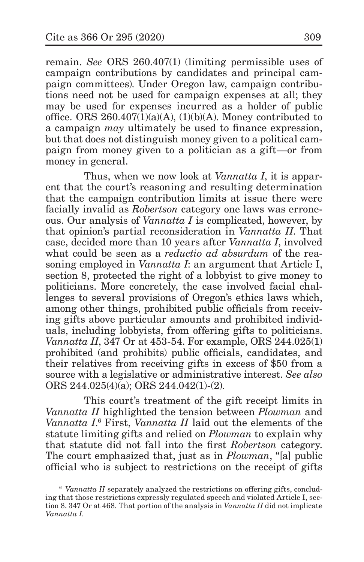remain. *See* ORS 260.407(1) (limiting permissible uses of campaign contributions by candidates and principal campaign committees). Under Oregon law, campaign contributions need not be used for campaign expenses at all; they may be used for expenses incurred as a holder of public office. ORS  $260.407(1)(a)(A)$ ,  $(1)(b)(A)$ . Money contributed to a campaign *may* ultimately be used to finance expression, but that does not distinguish money given to a political campaign from money given to a politician as a gift—or from money in general.

Thus, when we now look at *Vannatta I*, it is apparent that the court's reasoning and resulting determination that the campaign contribution limits at issue there were facially invalid as *Robertson* category one laws was erroneous. Our analysis of *Vannatta I* is complicated, however, by that opinion's partial reconsideration in *Vannatta II*. That case, decided more than 10 years after *Vannatta I*, involved what could be seen as a *reductio ad absurdum* of the reasoning employed in *Vannatta I*: an argument that Article I, section 8, protected the right of a lobbyist to give money to politicians. More concretely, the case involved facial challenges to several provisions of Oregon's ethics laws which, among other things, prohibited public officials from receiving gifts above particular amounts and prohibited individuals, including lobbyists, from offering gifts to politicians. *Vannatta II*, 347 Or at 453-54. For example, ORS 244.025(1) prohibited (and prohibits) public officials, candidates, and their relatives from receiving gifts in excess of \$50 from a source with a legislative or administrative interest. *See also* ORS 244.025(4)(a); ORS 244.042(1)-(2).

This court's treatment of the gift receipt limits in *Vannatta II* highlighted the tension between *Plowman* and *Vannatta I*. 6 First, *Vannatta II* laid out the elements of the statute limiting gifts and relied on *Plowman* to explain why that statute did not fall into the first *Robertson* category. The court emphasized that, just as in *Plowman*, "[a] public official who is subject to restrictions on the receipt of gifts

<sup>6</sup> *Vannatta II* separately analyzed the restrictions on offering gifts, concluding that those restrictions expressly regulated speech and violated Article I, section 8. 347 Or at 468. That portion of the analysis in *Vannatta II* did not implicate *Vannatta I*.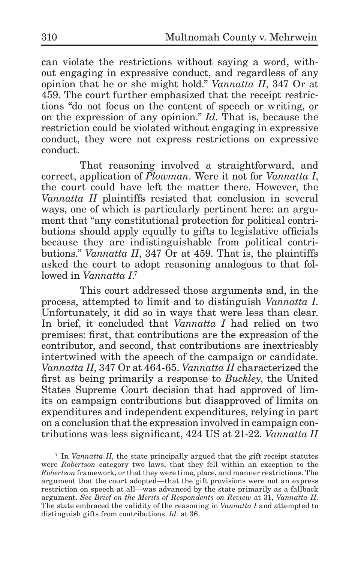can violate the restrictions without saying a word, without engaging in expressive conduct, and regardless of any opinion that he or she might hold." *Vannatta II*, 347 Or at 459. The court further emphasized that the receipt restrictions "do not focus on the content of speech or writing, or on the expression of any opinion." *Id*. That is, because the restriction could be violated without engaging in expressive conduct, they were not express restrictions on expressive conduct.

That reasoning involved a straightforward, and correct, application of *Plowman*. Were it not for *Vannatta I*, the court could have left the matter there. However, the *Vannatta II* plaintiffs resisted that conclusion in several ways, one of which is particularly pertinent here: an argument that "any constitutional protection for political contributions should apply equally to gifts to legislative officials because they are indistinguishable from political contributions." *Vannatta II*, 347 Or at 459. That is, the plaintiffs asked the court to adopt reasoning analogous to that followed in *Vannatta I*. 7

This court addressed those arguments and, in the process, attempted to limit and to distinguish *Vannatta I*. Unfortunately, it did so in ways that were less than clear. In brief, it concluded that *Vannatta I* had relied on two premises: first, that contributions are the expression of the contributor, and second, that contributions are inextricably intertwined with the speech of the campaign or candidate. *Vannatta II*, 347 Or at 464-65. *Vannatta II* characterized the first as being primarily a response to *Buckley*, the United States Supreme Court decision that had approved of limits on campaign contributions but disapproved of limits on expenditures and independent expenditures, relying in part on a conclusion that the expression involved in campaign contributions was less significant, 424 US at 21-22. *Vannatta II* 

<sup>7</sup> In *Vannatta II*, the state principally argued that the gift receipt statutes were *Robertson* category two laws, that they fell within an exception to the *Robertson* framework, or that they were time, place, and manner restrictions. The argument that the court adopted—that the gift provisions were not an express restriction on speech at all—was advanced by the state primarily as a fallback argument. *See Brief on the Merits of Respondents on Review* at 31, *Vannatta II*. The state embraced the validity of the reasoning in *Vannatta I* and attempted to distinguish gifts from contributions. *Id.* at 36.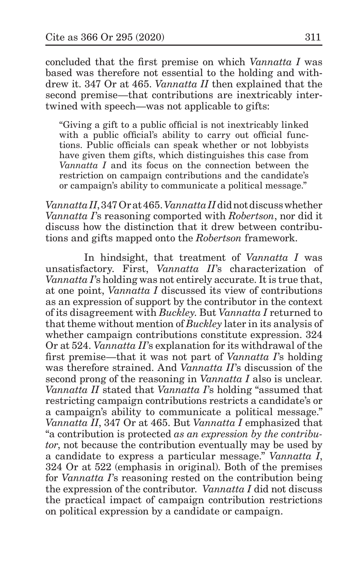concluded that the first premise on which *Vannatta I* was based was therefore not essential to the holding and withdrew it. 347 Or at 465. *Vannatta II* then explained that the second premise—that contributions are inextricably intertwined with speech—was not applicable to gifts:

"Giving a gift to a public official is not inextricably linked with a public official's ability to carry out official functions. Public officials can speak whether or not lobbyists have given them gifts, which distinguishes this case from *Vannatta I* and its focus on the connection between the restriction on campaign contributions and the candidate's or campaign's ability to communicate a political message."

*VannattaII*, 347 Or at 465. *VannattaII* did not discuss whether *Vannatta I*'s reasoning comported with *Robertson*, nor did it discuss how the distinction that it drew between contributions and gifts mapped onto the *Robertson* framework.

In hindsight, that treatment of *Vannatta I* was unsatisfactory. First, *Vannatta II*'s characterization of *Vannatta I*'s holding was not entirely accurate. It is true that, at one point, *Vannatta I* discussed its view of contributions as an expression of support by the contributor in the context of its disagreement with *Buckley*. But *Vannatta I* returned to that theme without mention of *Buckley* later in its analysis of whether campaign contributions constitute expression. 324 Or at 524. *Vannatta II*'s explanation for its withdrawal of the first premise—that it was not part of *Vannatta I*'s holding was therefore strained. And *Vannatta II*'s discussion of the second prong of the reasoning in *Vannatta I* also is unclear. *Vannatta II* stated that *Vannatta I*'s holding "assumed that restricting campaign contributions restricts a candidate's or a campaign's ability to communicate a political message." *Vannatta II*, 347 Or at 465. But *Vannatta I* emphasized that "a contribution is protected *as an expression by the contributor*, not because the contribution eventually may be used by a candidate to express a particular message." *Vannatta I*, 324 Or at 522 (emphasis in original). Both of the premises for *Vannatta I*'s reasoning rested on the contribution being the expression of the contributor. *Vannatta I* did not discuss the practical impact of campaign contribution restrictions on political expression by a candidate or campaign.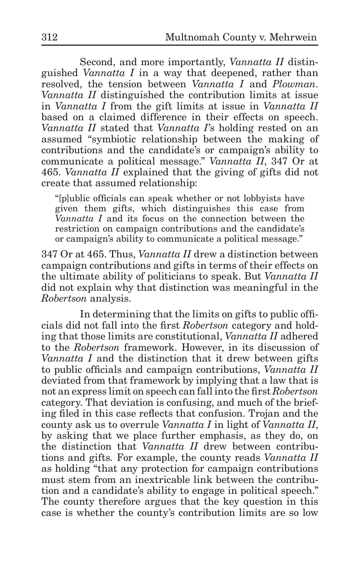Second, and more importantly, *Vannatta II* distinguished *Vannatta I* in a way that deepened, rather than resolved, the tension between *Vannatta I* and *Plowman*. *Vannatta II* distinguished the contribution limits at issue in *Vannatta I* from the gift limits at issue in *Vannatta II*  based on a claimed difference in their effects on speech. *Vannatta II* stated that *Vannatta I*'s holding rested on an assumed "symbiotic relationship between the making of contributions and the candidate's or campaign's ability to communicate a political message." *Vannatta II*, 347 Or at 465. *Vannatta II* explained that the giving of gifts did not create that assumed relationship:

"[p]ublic officials can speak whether or not lobbyists have given them gifts, which distinguishes this case from *Vannatta I* and its focus on the connection between the restriction on campaign contributions and the candidate's or campaign's ability to communicate a political message."

347 Or at 465. Thus, *Vannatta II* drew a distinction between campaign contributions and gifts in terms of their effects on the ultimate ability of politicians to speak. But *Vannatta II*  did not explain why that distinction was meaningful in the *Robertson* analysis.

In determining that the limits on gifts to public officials did not fall into the first *Robertson* category and holding that those limits are constitutional, *Vannatta II* adhered to the *Robertson* framework. However, in its discussion of *Vannatta I* and the distinction that it drew between gifts to public officials and campaign contributions, *Vannatta II*  deviated from that framework by implying that a law that is not an express limit on speech can fall into the first *Robertson*  category. That deviation is confusing, and much of the briefing filed in this case reflects that confusion. Trojan and the county ask us to overrule *Vannatta I* in light of *Vannatta II*, by asking that we place further emphasis, as they do, on the distinction that *Vannatta II* drew between contributions and gifts*.* For example, the county reads *Vannatta II* as holding "that any protection for campaign contributions must stem from an inextricable link between the contribution and a candidate's ability to engage in political speech." The county therefore argues that the key question in this case is whether the county's contribution limits are so low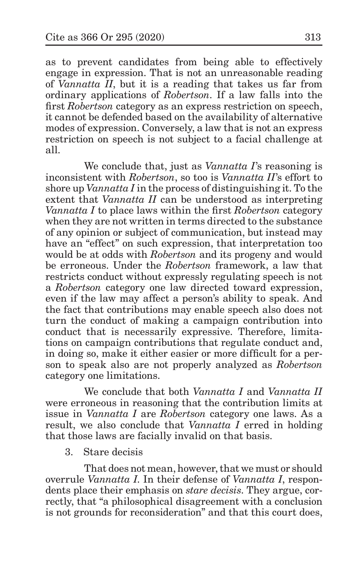as to prevent candidates from being able to effectively engage in expression. That is not an unreasonable reading of *Vannatta II*, but it is a reading that takes us far from ordinary applications of *Robertson*. If a law falls into the first *Robertson* category as an express restriction on speech, it cannot be defended based on the availability of alternative modes of expression. Conversely, a law that is not an express restriction on speech is not subject to a facial challenge at all.

We conclude that, just as *Vannatta I*'s reasoning is inconsistent with *Robertson*, so too is *Vannatta II*'s effort to shore up *Vannatta I* in the process of distinguishing it. To the extent that *Vannatta II* can be understood as interpreting *Vannatta I* to place laws within the first *Robertson* category when they are not written in terms directed to the substance of any opinion or subject of communication, but instead may have an "effect" on such expression, that interpretation too would be at odds with *Robertson* and its progeny and would be erroneous. Under the *Robertson* framework, a law that restricts conduct without expressly regulating speech is not a *Robertson* category one law directed toward expression, even if the law may affect a person's ability to speak. And the fact that contributions may enable speech also does not turn the conduct of making a campaign contribution into conduct that is necessarily expressive. Therefore, limitations on campaign contributions that regulate conduct and, in doing so, make it either easier or more difficult for a person to speak also are not properly analyzed as *Robertson*  category one limitations.

We conclude that both *Vannatta I* and *Vannatta II*  were erroneous in reasoning that the contribution limits at issue in *Vannatta I* are *Robertson* category one laws. As a result, we also conclude that *Vannatta I* erred in holding that those laws are facially invalid on that basis.

3. Stare decisis

That does not mean, however, that we must or should overrule *Vannatta I*. In their defense of *Vannatta I*, respondents place their emphasis on *stare decisis*. They argue, correctly, that "a philosophical disagreement with a conclusion is not grounds for reconsideration" and that this court does,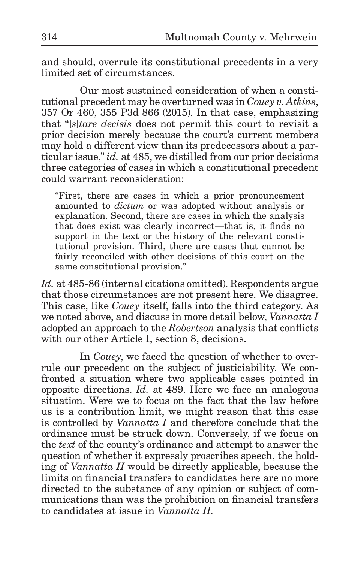and should, overrule its constitutional precedents in a very limited set of circumstances.

Our most sustained consideration of when a constitutional precedent may be overturned was in *Couey v. Atkins*, 357 Or 460, 355 P3d 866 (2015). In that case, emphasizing that "[*s*]*tare decisis* does not permit this court to revisit a prior decision merely because the court's current members may hold a different view than its predecessors about a particular issue," *id.* at 485, we distilled from our prior decisions three categories of cases in which a constitutional precedent could warrant reconsideration:

"First, there are cases in which a prior pronouncement amounted to *dictum* or was adopted without analysis or explanation. Second, there are cases in which the analysis that does exist was clearly incorrect—that is, it finds no support in the text or the history of the relevant constitutional provision. Third, there are cases that cannot be fairly reconciled with other decisions of this court on the same constitutional provision."

*Id.* at 485-86 (internal citations omitted). Respondents argue that those circumstances are not present here. We disagree. This case, like *Couey* itself, falls into the third category. As we noted above, and discuss in more detail below, *Vannatta I*  adopted an approach to the *Robertson* analysis that conflicts with our other Article I, section 8, decisions.

In *Couey*, we faced the question of whether to overrule our precedent on the subject of justiciability. We confronted a situation where two applicable cases pointed in opposite directions. *Id.* at 489. Here we face an analogous situation. Were we to focus on the fact that the law before us is a contribution limit, we might reason that this case is controlled by *Vannatta I* and therefore conclude that the ordinance must be struck down. Conversely, if we focus on the *text* of the county's ordinance and attempt to answer the question of whether it expressly proscribes speech, the holding of *Vannatta II* would be directly applicable, because the limits on financial transfers to candidates here are no more directed to the substance of any opinion or subject of communications than was the prohibition on financial transfers to candidates at issue in *Vannatta II*.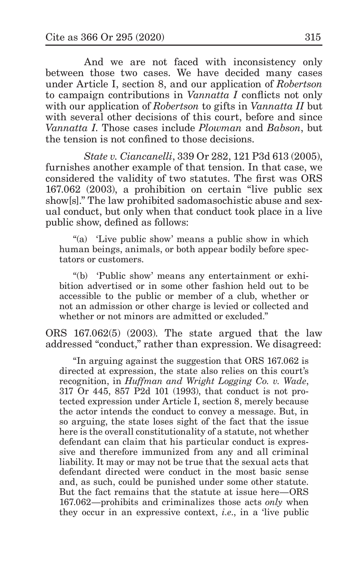And we are not faced with inconsistency only between those two cases. We have decided many cases under Article I, section 8, and our application of *Robertson*  to campaign contributions in *Vannatta I* conflicts not only with our application of *Robertson* to gifts in *Vannatta II* but with several other decisions of this court, before and since *Vannatta I*. Those cases include *Plowman* and *Babson*, but the tension is not confined to those decisions.

*State v. Ciancanelli*, 339 Or 282, 121 P3d 613 (2005), furnishes another example of that tension. In that case, we considered the validity of two statutes. The first was ORS 167.062 (2003), a prohibition on certain "live public sex show[s]." The law prohibited sadomasochistic abuse and sexual conduct, but only when that conduct took place in a live public show, defined as follows:

"(a) 'Live public show' means a public show in which human beings, animals, or both appear bodily before spectators or customers.

"(b) 'Public show' means any entertainment or exhibition advertised or in some other fashion held out to be accessible to the public or member of a club, whether or not an admission or other charge is levied or collected and whether or not minors are admitted or excluded."

ORS 167.062(5) (2003). The state argued that the law addressed "conduct," rather than expression. We disagreed:

"In arguing against the suggestion that ORS 167.062 is directed at expression, the state also relies on this court's recognition, in *Huffman and Wright Logging Co. v. Wade*, 317 Or 445, 857 P2d 101 (1993), that conduct is not protected expression under Article I, section 8, merely because the actor intends the conduct to convey a message. But, in so arguing, the state loses sight of the fact that the issue here is the overall constitutionality of a statute, not whether defendant can claim that his particular conduct is expressive and therefore immunized from any and all criminal liability. It may or may not be true that the sexual acts that defendant directed were conduct in the most basic sense and, as such, could be punished under some other statute. But the fact remains that the statute at issue here—ORS 167.062—prohibits and criminalizes those acts *only* when they occur in an expressive context, *i.e*., in a 'live public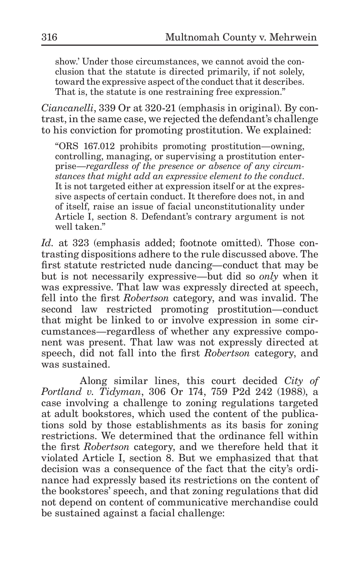show.' Under those circumstances, we cannot avoid the conclusion that the statute is directed primarily, if not solely, toward the expressive aspect of the conduct that it describes. That is, the statute is one restraining free expression."

*Ciancanelli*, 339 Or at 320-21 (emphasis in original). By contrast, in the same case, we rejected the defendant's challenge to his conviction for promoting prostitution. We explained:

"ORS 167.012 prohibits promoting prostitution—owning, controlling, managing, or supervising a prostitution enterprise—*regardless of the presence or absence of any circumstances that might add an expressive element to the conduct*. It is not targeted either at expression itself or at the expressive aspects of certain conduct. It therefore does not, in and of itself, raise an issue of facial unconstitutionality under Article I, section 8. Defendant's contrary argument is not well taken."

*Id.* at 323 (emphasis added; footnote omitted). Those contrasting dispositions adhere to the rule discussed above. The first statute restricted nude dancing—conduct that may be but is not necessarily expressive—but did so *only* when it was expressive. That law was expressly directed at speech, fell into the first *Robertson* category, and was invalid. The second law restricted promoting prostitution—conduct that might be linked to or involve expression in some circumstances—regardless of whether any expressive component was present. That law was not expressly directed at speech, did not fall into the first *Robertson* category, and was sustained.

Along similar lines, this court decided *City of Portland v. Tidyman*, 306 Or 174, 759 P2d 242 (1988), a case involving a challenge to zoning regulations targeted at adult bookstores, which used the content of the publications sold by those establishments as its basis for zoning restrictions. We determined that the ordinance fell within the first *Robertson* category, and we therefore held that it violated Article I, section 8. But we emphasized that that decision was a consequence of the fact that the city's ordinance had expressly based its restrictions on the content of the bookstores' speech, and that zoning regulations that did not depend on content of communicative merchandise could be sustained against a facial challenge: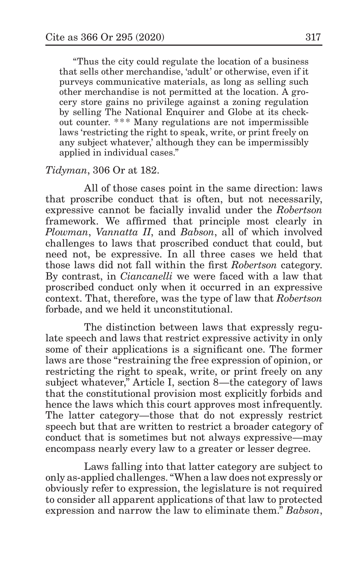"Thus the city could regulate the location of a business that sells other merchandise, 'adult' or otherwise, even if it purveys communicative materials, as long as selling such other merchandise is not permitted at the location. A grocery store gains no privilege against a zoning regulation by selling The National Enquirer and Globe at its checkout counter. \*\*\* Many regulations are not impermissible laws 'restricting the right to speak, write, or print freely on any subject whatever,' although they can be impermissibly applied in individual cases."

### *Tidyman*, 306 Or at 182.

All of those cases point in the same direction: laws that proscribe conduct that is often, but not necessarily, expressive cannot be facially invalid under the *Robertson*  framework. We affirmed that principle most clearly in *Plowman*, *Vannatta II*, and *Babson*, all of which involved challenges to laws that proscribed conduct that could, but need not, be expressive. In all three cases we held that those laws did not fall within the first *Robertson* category. By contrast, in *Ciancanelli* we were faced with a law that proscribed conduct only when it occurred in an expressive context. That, therefore, was the type of law that *Robertson*  forbade, and we held it unconstitutional.

The distinction between laws that expressly regulate speech and laws that restrict expressive activity in only some of their applications is a significant one. The former laws are those "restraining the free expression of opinion, or restricting the right to speak, write, or print freely on any subject whatever," Article I, section 8—the category of laws that the constitutional provision most explicitly forbids and hence the laws which this court approves most infrequently. The latter category—those that do not expressly restrict speech but that are written to restrict a broader category of conduct that is sometimes but not always expressive—may encompass nearly every law to a greater or lesser degree.

Laws falling into that latter category are subject to only as-applied challenges. "When a law does not expressly or obviously refer to expression, the legislature is not required to consider all apparent applications of that law to protected expression and narrow the law to eliminate them." *Babson*,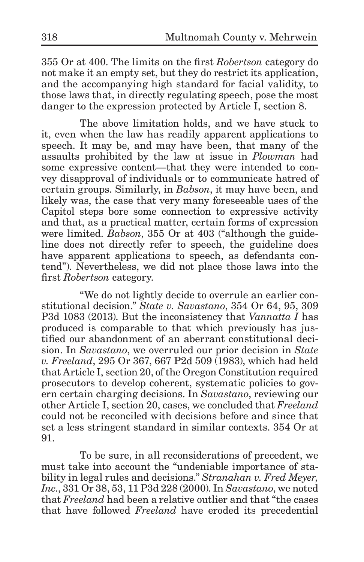355 Or at 400. The limits on the first *Robertson* category do not make it an empty set, but they do restrict its application, and the accompanying high standard for facial validity, to those laws that, in directly regulating speech, pose the most danger to the expression protected by Article I, section 8.

The above limitation holds, and we have stuck to it, even when the law has readily apparent applications to speech. It may be, and may have been, that many of the assaults prohibited by the law at issue in *Plowman* had some expressive content—that they were intended to convey disapproval of individuals or to communicate hatred of certain groups. Similarly, in *Babson*, it may have been, and likely was, the case that very many foreseeable uses of the Capitol steps bore some connection to expressive activity and that, as a practical matter, certain forms of expression were limited. *Babson*, 355 Or at 403 ("although the guideline does not directly refer to speech, the guideline does have apparent applications to speech, as defendants contend"). Nevertheless, we did not place those laws into the first *Robertson* category.

"We do not lightly decide to overrule an earlier constitutional decision." *State v. Savastano*, 354 Or 64, 95, 309 P3d 1083 (2013). But the inconsistency that *Vannatta I* has produced is comparable to that which previously has justified our abandonment of an aberrant constitutional decision. In *Savastano*, we overruled our prior decision in *State v. Freeland*, 295 Or 367, 667 P2d 509 (1983), which had held that Article I, section 20, of the Oregon Constitution required prosecutors to develop coherent, systematic policies to govern certain charging decisions. In *Savastano*, reviewing our other Article I, section 20, cases, we concluded that *Freeland*  could not be reconciled with decisions before and since that set a less stringent standard in similar contexts. 354 Or at 91.

To be sure, in all reconsiderations of precedent, we must take into account the "undeniable importance of stability in legal rules and decisions." *Stranahan v. Fred Meyer, Inc.*, 331 Or 38, 53, 11 P3d 228 (2000). In *Savastano*, we noted that *Freeland* had been a relative outlier and that "the cases that have followed *Freeland* have eroded its precedential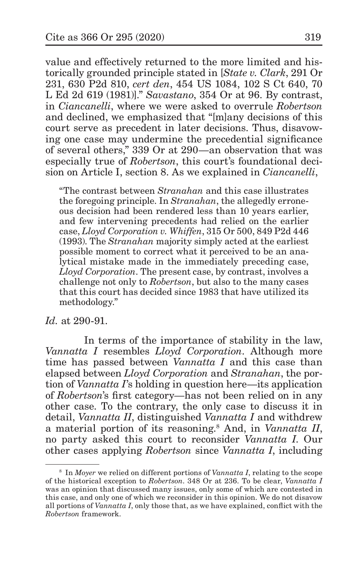value and effectively returned to the more limited and historically grounded principle stated in [*State v. Clark*, 291 Or 231, 630 P2d 810, *cert den*, 454 US 1084, 102 S Ct 640, 70 L Ed 2d 619 (1981)]." *Savastano*, 354 Or at 96. By contrast, in *Ciancanelli*, where we were asked to overrule *Robertson*  and declined, we emphasized that "[m]any decisions of this court serve as precedent in later decisions. Thus, disavowing one case may undermine the precedential significance of several others," 339 Or at 290—an observation that was especially true of *Robertson*, this court's foundational decision on Article I, section 8. As we explained in *Ciancanelli*,

"The contrast between *Stranahan* and this case illustrates the foregoing principle. In *Stranahan*, the allegedly erroneous decision had been rendered less than 10 years earlier, and few intervening precedents had relied on the earlier case, *Lloyd Corporation v. Whiffen*, 315 Or 500, 849 P2d 446 (1993). The *Stranahan* majority simply acted at the earliest possible moment to correct what it perceived to be an analytical mistake made in the immediately preceding case, *Lloyd Corporation*. The present case, by contrast, involves a challenge not only to *Robertson*, but also to the many cases that this court has decided since 1983 that have utilized its methodology."

*Id.* at 290-91.

In terms of the importance of stability in the law, *Vannatta I* resembles *Lloyd Corporation*. Although more time has passed between *Vannatta I* and this case than elapsed between *Lloyd Corporation* and *Stranahan*, the portion of *Vannatta I*'s holding in question here—its application of *Robertson*'s first category*—*has not been relied on in any other case. To the contrary, the only case to discuss it in detail, *Vannatta II*, distinguished *Vannatta I* and withdrew a material portion of its reasoning.8 And, in *Vannatta II*, no party asked this court to reconsider *Vannatta I*. Our other cases applying *Robertson* since *Vannatta I*, including

<sup>8</sup> In *Moyer* we relied on different portions of *Vannatta I*, relating to the scope of the historical exception to *Robertson*. 348 Or at 236. To be clear, *Vannatta I*  was an opinion that discussed many issues, only some of which are contested in this case, and only one of which we reconsider in this opinion. We do not disavow all portions of *Vannatta I*, only those that, as we have explained, conflict with the *Robertson* framework.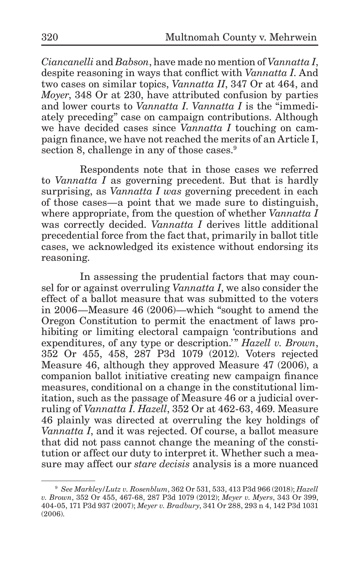*Ciancanelli* and *Babson*, have made no mention of *Vannatta I*, despite reasoning in ways that conflict with *Vannatta I*. And two cases on similar topics, *Vannatta II*, 347 Or at 464, and *Moyer*, 348 Or at 230, have attributed confusion by parties and lower courts to *Vannatta I*. *Vannatta I* is the "immediately preceding" case on campaign contributions. Although we have decided cases since *Vannatta I* touching on campaign finance, we have not reached the merits of an Article I, section 8, challenge in any of those cases.<sup>9</sup>

Respondents note that in those cases we referred to *Vannatta I* as governing precedent. But that is hardly surprising, as *Vannatta I was* governing precedent in each of those cases—a point that we made sure to distinguish, where appropriate, from the question of whether *Vannatta I*  was correctly decided. *Vannatta I* derives little additional precedential force from the fact that, primarily in ballot title cases, we acknowledged its existence without endorsing its reasoning.

In assessing the prudential factors that may counsel for or against overruling *Vannatta I*, we also consider the effect of a ballot measure that was submitted to the voters in 2006—Measure 46 (2006)—which "sought to amend the Oregon Constitution to permit the enactment of laws prohibiting or limiting electoral campaign 'contributions and expenditures, of any type or description.'" *Hazell v. Brown*, 352 Or 455, 458, 287 P3d 1079 (2012). Voters rejected Measure 46, although they approved Measure 47 (2006), a companion ballot initiative creating new campaign finance measures, conditional on a change in the constitutional limitation, such as the passage of Measure 46 or a judicial overruling of *Vannatta I*. *Hazell*, 352 Or at 462-63, 469. Measure 46 plainly was directed at overruling the key holdings of *Vannatta I*, and it was rejected. Of course, a ballot measure that did not pass cannot change the meaning of the constitution or affect our duty to interpret it. Whether such a measure may affect our *stare decisis* analysis is a more nuanced

<sup>9</sup> *See Markley/Lutz v. Rosenblum*, 362 Or 531, 533, 413 P3d 966 (2018); *Hazell v. Brown*, 352 Or 455, 467-68, 287 P3d 1079 (2012); *Meyer v. Myers*, 343 Or 399, 404-05, 171 P3d 937 (2007); *Meyer v. Bradbury*, 341 Or 288, 293 n 4, 142 P3d 1031 (2006).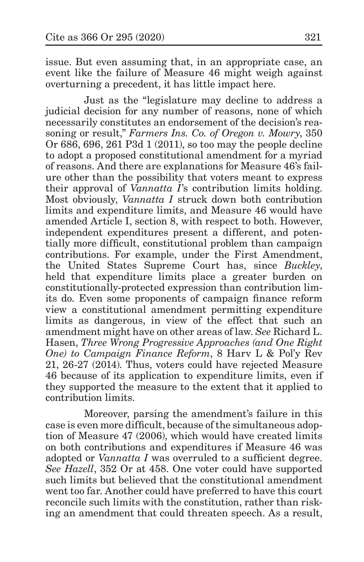issue. But even assuming that, in an appropriate case, an event like the failure of Measure 46 might weigh against overturning a precedent, it has little impact here.

Just as the "legislature may decline to address a judicial decision for any number of reasons, none of which necessarily constitutes an endorsement of the decision's reasoning or result," *Farmers Ins. Co. of Oregon v. Mowry*, 350 Or 686, 696, 261 P3d 1 (2011), so too may the people decline to adopt a proposed constitutional amendment for a myriad of reasons. And there are explanations for Measure 46's failure other than the possibility that voters meant to express their approval of *Vannatta I*'s contribution limits holding. Most obviously, *Vannatta I* struck down both contribution limits and expenditure limits, and Measure 46 would have amended Article I, section 8, with respect to both. However, independent expenditures present a different, and potentially more difficult, constitutional problem than campaign contributions. For example, under the First Amendment, the United States Supreme Court has, since *Buckley*, held that expenditure limits place a greater burden on constitutionally-protected expression than contribution limits do. Even some proponents of campaign finance reform view a constitutional amendment permitting expenditure limits as dangerous, in view of the effect that such an amendment might have on other areas of law. *See* Richard L. Hasen, *Three Wrong Progressive Approaches (and One Right One) to Campaign Finance Reform*, 8 Harv L & Pol'y Rev 21, 26-27 (2014). Thus, voters could have rejected Measure 46 because of its application to expenditure limits, even if they supported the measure to the extent that it applied to contribution limits.

Moreover, parsing the amendment's failure in this case is even more difficult, because of the simultaneous adoption of Measure 47 (2006), which would have created limits on both contributions and expenditures if Measure 46 was adopted or *Vannatta I* was overruled to a sufficient degree. *See Hazell*, 352 Or at 458. One voter could have supported such limits but believed that the constitutional amendment went too far. Another could have preferred to have this court reconcile such limits with the constitution, rather than risking an amendment that could threaten speech. As a result,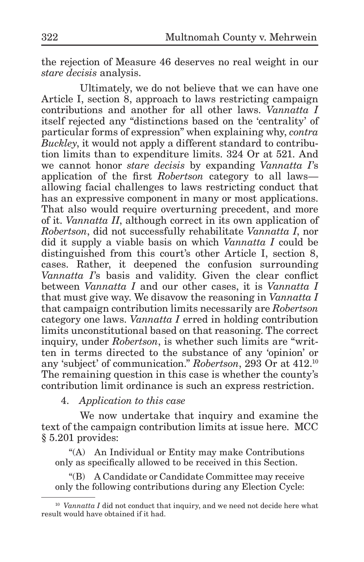the rejection of Measure 46 deserves no real weight in our *stare decisis* analysis.

Ultimately, we do not believe that we can have one Article I, section 8, approach to laws restricting campaign contributions and another for all other laws. *Vannatta I*  itself rejected any "distinctions based on the 'centrality' of particular forms of expression" when explaining why, *contra Buckley*, it would not apply a different standard to contribution limits than to expenditure limits. 324 Or at 521. And we cannot honor *stare decisis* by expanding *Vannatta I*'s application of the first *Robertson* category to all laws allowing facial challenges to laws restricting conduct that has an expressive component in many or most applications. That also would require overturning precedent, and more of it. *Vannatta II*, although correct in its own application of *Robertson*, did not successfully rehabilitate *Vannatta I*, nor did it supply a viable basis on which *Vannatta I* could be distinguished from this court's other Article I, section 8, cases. Rather, it deepened the confusion surrounding *Vannatta I*'s basis and validity. Given the clear conflict between *Vannatta I* and our other cases, it is *Vannatta I*  that must give way. We disavow the reasoning in *Vannatta I*  that campaign contribution limits necessarily are *Robertson*  category one laws. *Vannatta I* erred in holding contribution limits unconstitutional based on that reasoning. The correct inquiry, under *Robertson*, is whether such limits are "written in terms directed to the substance of any 'opinion' or any 'subject' of communication." *Robertson*, 293 Or at 412.10 The remaining question in this case is whether the county's contribution limit ordinance is such an express restriction.

4. *Application to this case*

We now undertake that inquiry and examine the text of the campaign contribution limits at issue here. MCC § 5.201 provides:

"(A) An Individual or Entity may make Contributions only as specifically allowed to be received in this Section.

"(B) A Candidate or Candidate Committee may receive only the following contributions during any Election Cycle:

 $10$  *Vannatta I* did not conduct that inquiry, and we need not decide here what result would have obtained if it had.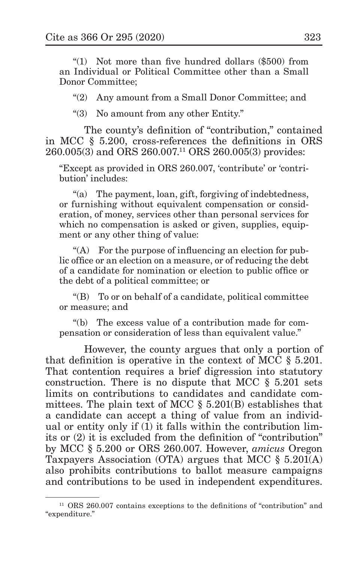"(1) Not more than five hundred dollars (\$500) from an Individual or Political Committee other than a Small Donor Committee;

"(2) Any amount from a Small Donor Committee; and

"(3) No amount from any other Entity."

The county's definition of "contribution," contained in MCC § 5.200, cross-references the definitions in ORS 260.005(3) and ORS 260.007.11 ORS 260.005(3) provides:

"Except as provided in ORS 260.007, 'contribute' or 'contribution' includes:

"(a) The payment, loan, gift, forgiving of indebtedness, or furnishing without equivalent compensation or consideration, of money, services other than personal services for which no compensation is asked or given, supplies, equipment or any other thing of value:

"(A) For the purpose of influencing an election for public office or an election on a measure, or of reducing the debt of a candidate for nomination or election to public office or the debt of a political committee; or

"(B) To or on behalf of a candidate, political committee or measure; and

"(b) The excess value of a contribution made for compensation or consideration of less than equivalent value."

However, the county argues that only a portion of that definition is operative in the context of MCC § 5.201. That contention requires a brief digression into statutory construction. There is no dispute that MCC § 5.201 sets limits on contributions to candidates and candidate committees. The plain text of MCC § 5.201(B) establishes that a candidate can accept a thing of value from an individual or entity only if (1) it falls within the contribution limits or (2) it is excluded from the definition of "contribution" by MCC § 5.200 or ORS 260.007. However, *amicus* Oregon Taxpayers Association (OTA) argues that MCC § 5.201(A) also prohibits contributions to ballot measure campaigns and contributions to be used in independent expenditures.

<sup>&</sup>lt;sup>11</sup> ORS 260.007 contains exceptions to the definitions of "contribution" and "expenditure."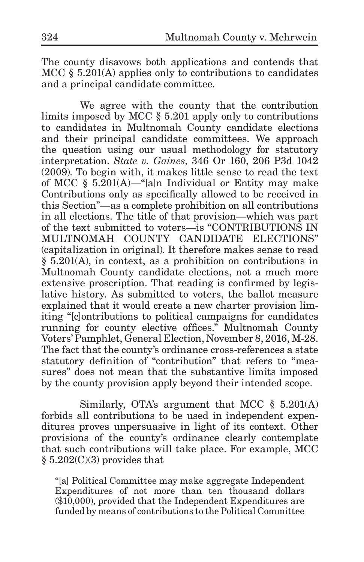The county disavows both applications and contends that MCC § 5.201(A) applies only to contributions to candidates and a principal candidate committee.

We agree with the county that the contribution limits imposed by MCC § 5.201 apply only to contributions to candidates in Multnomah County candidate elections and their principal candidate committees. We approach the question using our usual methodology for statutory interpretation. *State v. Gaines*, 346 Or 160, 206 P3d 1042 (2009). To begin with, it makes little sense to read the text of MCC § 5.201(A)—"[a]n Individual or Entity may make Contributions only as specifically allowed to be received in this Section"—as a complete prohibition on all contributions in all elections. The title of that provision—which was part of the text submitted to voters—is "CONTRIBUTIONS IN MULTNOMAH COUNTY CANDIDATE ELECTIONS" (capitalization in original). It therefore makes sense to read § 5.201(A), in context, as a prohibition on contributions in Multnomah County candidate elections, not a much more extensive proscription. That reading is confirmed by legislative history. As submitted to voters, the ballot measure explained that it would create a new charter provision limiting "[c]ontributions to political campaigns for candidates running for county elective offices." Multnomah County Voters' Pamphlet, General Election, November 8, 2016, M-28. The fact that the county's ordinance cross-references a state statutory definition of "contribution" that refers to "measures" does not mean that the substantive limits imposed by the county provision apply beyond their intended scope.

Similarly, OTA's argument that MCC  $\S$  5.201(A) forbids all contributions to be used in independent expenditures proves unpersuasive in light of its context. Other provisions of the county's ordinance clearly contemplate that such contributions will take place. For example, MCC § 5.202(C)(3) provides that

"[a] Political Committee may make aggregate Independent Expenditures of not more than ten thousand dollars (\$10,000), provided that the Independent Expenditures are funded by means of contributions to the Political Committee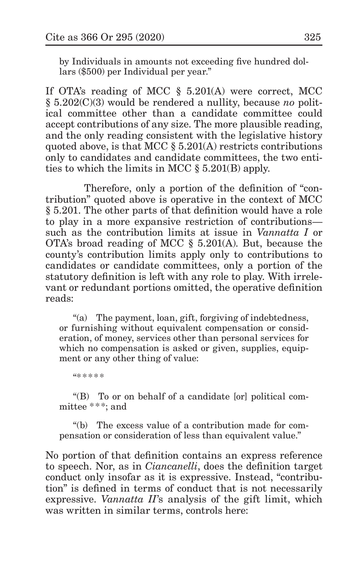by Individuals in amounts not exceeding five hundred dollars (\$500) per Individual per year."

If OTA's reading of MCC § 5.201(A) were correct, MCC § 5.202(C)(3) would be rendered a nullity, because *no* political committee other than a candidate committee could accept contributions of any size. The more plausible reading, and the only reading consistent with the legislative history quoted above, is that MCC § 5.201(A) restricts contributions only to candidates and candidate committees, the two entities to which the limits in MCC § 5.201(B) apply.

Therefore, only a portion of the definition of "contribution" quoted above is operative in the context of MCC § 5.201. The other parts of that definition would have a role to play in a more expansive restriction of contributions such as the contribution limits at issue in *Vannatta I* or OTA's broad reading of MCC § 5.201(A). But, because the county's contribution limits apply only to contributions to candidates or candidate committees, only a portion of the statutory definition is left with any role to play. With irrelevant or redundant portions omitted, the operative definition reads:

"(a) The payment, loan, gift, forgiving of indebtedness, or furnishing without equivalent compensation or consideration, of money, services other than personal services for which no compensation is asked or given, supplies, equipment or any other thing of value:

"\* \* \* \* \*

"(B) To or on behalf of a candidate [or] political committee \*\*\*; and

"(b) The excess value of a contribution made for compensation or consideration of less than equivalent value."

No portion of that definition contains an express reference to speech. Nor, as in *Ciancanelli*, does the definition target conduct only insofar as it is expressive. Instead, "contribution" is defined in terms of conduct that is not necessarily expressive. *Vannatta II*'s analysis of the gift limit, which was written in similar terms, controls here: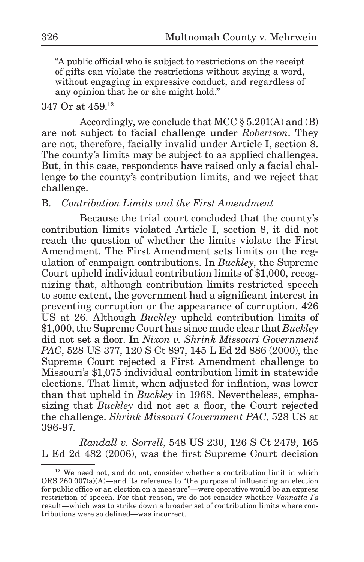"A public official who is subject to restrictions on the receipt of gifts can violate the restrictions without saying a word, without engaging in expressive conduct, and regardless of any opinion that he or she might hold."

#### 347 Or at 459.12

Accordingly, we conclude that MCC § 5.201(A) and (B) are not subject to facial challenge under *Robertson*. They are not, therefore, facially invalid under Article I, section 8. The county's limits may be subject to as applied challenges. But, in this case, respondents have raised only a facial challenge to the county's contribution limits, and we reject that challenge.

#### B. *Contribution Limits and the First Amendment*

Because the trial court concluded that the county's contribution limits violated Article I, section 8, it did not reach the question of whether the limits violate the First Amendment. The First Amendment sets limits on the regulation of campaign contributions. In *Buckley*, the Supreme Court upheld individual contribution limits of \$1,000, recognizing that, although contribution limits restricted speech to some extent, the government had a significant interest in preventing corruption or the appearance of corruption. 426 US at 26. Although *Buckley* upheld contribution limits of \$1,000, the Supreme Court has since made clear that *Buckley*  did not set a floor. In *Nixon v. Shrink Missouri Government PAC*, 528 US 377, 120 S Ct 897, 145 L Ed 2d 886 (2000), the Supreme Court rejected a First Amendment challenge to Missouri's \$1,075 individual contribution limit in statewide elections. That limit, when adjusted for inflation, was lower than that upheld in *Buckley* in 1968. Nevertheless, emphasizing that *Buckley* did not set a floor, the Court rejected the challenge. *Shrink Missouri Government PAC*, 528 US at 396-97.

*Randall v. Sorrell*, 548 US 230, 126 S Ct 2479, 165 L Ed 2d 482 (2006), was the first Supreme Court decision

<sup>&</sup>lt;sup>12</sup> We need not, and do not, consider whether a contribution limit in which ORS  $260.007(a)(A)$ —and its reference to "the purpose of influencing an election for public office or an election on a measure"—were operative would be an express restriction of speech. For that reason, we do not consider whether *Vannatta I*'s result—which was to strike down a broader set of contribution limits where contributions were so defined—was incorrect.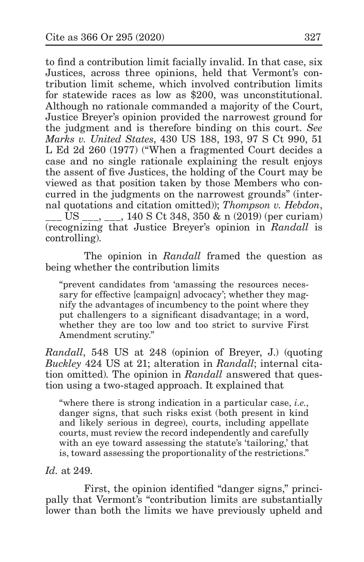to find a contribution limit facially invalid. In that case, six Justices, across three opinions, held that Vermont's contribution limit scheme, which involved contribution limits for statewide races as low as \$200, was unconstitutional. Although no rationale commanded a majority of the Court, Justice Breyer's opinion provided the narrowest ground for the judgment and is therefore binding on this court. *See Marks v. United States*, 430 US 188, 193, 97 S Ct 990, 51 L Ed 2d 260 (1977) ("When a fragmented Court decides a case and no single rationale explaining the result enjoys the assent of five Justices, the holding of the Court may be viewed as that position taken by those Members who concurred in the judgments on the narrowest grounds" (internal quotations and citation omitted)); *Thompson v. Hebdon*, US , , 140 S Ct 348, 350 & n (2019) (per curiam) (recognizing that Justice Breyer's opinion in *Randall* is controlling).

The opinion in *Randall* framed the question as being whether the contribution limits

"prevent candidates from 'amassing the resources necessary for effective [campaign] advocacy'; whether they magnify the advantages of incumbency to the point where they put challengers to a significant disadvantage; in a word, whether they are too low and too strict to survive First Amendment scrutiny."

*Randall*, 548 US at 248 (opinion of Breyer, J.) (quoting *Buckley* 424 US at 21; alteration in *Randall*; internal citation omitted). The opinion in *Randall* answered that question using a two-staged approach. It explained that

"where there is strong indication in a particular case, *i.e.*, danger signs, that such risks exist (both present in kind and likely serious in degree), courts, including appellate courts, must review the record independently and carefully with an eye toward assessing the statute's 'tailoring,' that is, toward assessing the proportionality of the restrictions."

*Id.* at 249.

First, the opinion identified "danger signs," principally that Vermont's "contribution limits are substantially lower than both the limits we have previously upheld and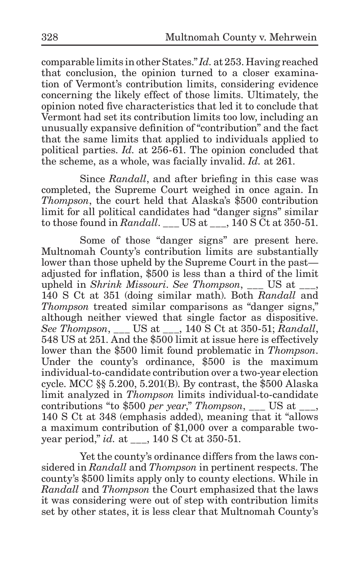comparable limits in other States." *Id.* at 253. Having reached that conclusion, the opinion turned to a closer examination of Vermont's contribution limits, considering evidence concerning the likely effect of those limits. Ultimately, the opinion noted five characteristics that led it to conclude that Vermont had set its contribution limits too low, including an unusually expansive definition of "contribution" and the fact that the same limits that applied to individuals applied to political parties. *Id.* at 256-61. The opinion concluded that the scheme, as a whole, was facially invalid. *Id.* at 261.

Since *Randall*, and after briefing in this case was completed, the Supreme Court weighed in once again. In *Thompson*, the court held that Alaska's \$500 contribution limit for all political candidates had "danger signs" similar to those found in *Randall*. US at  $\qquad$ , 140 S Ct at 350-51.

Some of those "danger signs" are present here. Multnomah County's contribution limits are substantially lower than those upheld by the Supreme Court in the past adjusted for inflation, \$500 is less than a third of the limit upheld in *Shrink Missouri*. *See Thompson*, US at  $\qquad$ , 140 S Ct at 351 (doing similar math). Both *Randall* and *Thompson* treated similar comparisons as "danger signs," although neither viewed that single factor as dispositive. *See Thompson*, \_\_\_ US at \_\_\_, 140 S Ct at 350-51; *Randall*, 548 US at 251. And the \$500 limit at issue here is effectively lower than the \$500 limit found problematic in *Thompson*. Under the county's ordinance, \$500 is the maximum individual-to-candidate contribution over a two-year election cycle. MCC §§ 5.200, 5.201(B). By contrast, the \$500 Alaska limit analyzed in *Thompson* limits individual-to-candidate contributions "to \$500 *per year*," *Thompson*, \_\_\_ US at \_\_\_, 140 S Ct at 348 (emphasis added), meaning that it "allows a maximum contribution of \$1,000 over a comparable twoyear period," *id.* at \_\_\_, 140 S Ct at 350-51.

Yet the county's ordinance differs from the laws considered in *Randall* and *Thompson* in pertinent respects. The county's \$500 limits apply only to county elections. While in *Randall* and *Thompson* the Court emphasized that the laws it was considering were out of step with contribution limits set by other states, it is less clear that Multnomah County's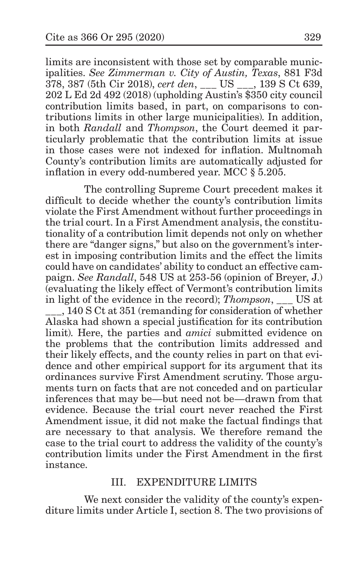limits are inconsistent with those set by comparable municipalities. *See Zimmerman v. City of Austin, Texas*, 881 F3d 378, 387 (5th Cir 2018), *cert den*, \_\_\_ US \_\_\_, 139 S Ct 639, 202 L Ed 2d 492 (2018) (upholding Austin's \$350 city council contribution limits based, in part, on comparisons to contributions limits in other large municipalities). In addition, in both *Randall* and *Thompson*, the Court deemed it particularly problematic that the contribution limits at issue in those cases were not indexed for inflation. Multnomah County's contribution limits are automatically adjusted for inflation in every odd-numbered year. MCC § 5.205.

The controlling Supreme Court precedent makes it difficult to decide whether the county's contribution limits violate the First Amendment without further proceedings in the trial court. In a First Amendment analysis, the constitutionality of a contribution limit depends not only on whether there are "danger signs," but also on the government's interest in imposing contribution limits and the effect the limits could have on candidates' ability to conduct an effective campaign. *See Randall*, 548 US at 253-56 (opinion of Breyer, J.) (evaluating the likely effect of Vermont's contribution limits in light of the evidence in the record); *Thompson*, US at

\_\_\_, 140 S Ct at 351 (remanding for consideration of whether Alaska had shown a special justification for its contribution limit). Here, the parties and *amici* submitted evidence on the problems that the contribution limits addressed and their likely effects, and the county relies in part on that evidence and other empirical support for its argument that its ordinances survive First Amendment scrutiny. Those arguments turn on facts that are not conceded and on particular inferences that may be—but need not be—drawn from that evidence. Because the trial court never reached the First Amendment issue, it did not make the factual findings that are necessary to that analysis. We therefore remand the case to the trial court to address the validity of the county's contribution limits under the First Amendment in the first instance.

## III. EXPENDITURE LIMITS

We next consider the validity of the county's expenditure limits under Article I, section 8. The two provisions of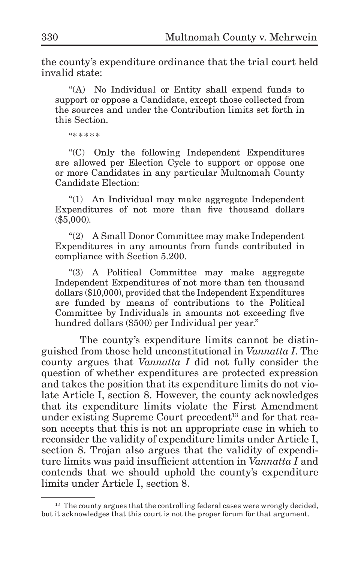the county's expenditure ordinance that the trial court held invalid state:

"(A) No Individual or Entity shall expend funds to support or oppose a Candidate, except those collected from the sources and under the Contribution limits set forth in this Section.

"\* \* \* \* \*

"(C) Only the following Independent Expenditures are allowed per Election Cycle to support or oppose one or more Candidates in any particular Multnomah County Candidate Election:

"(1) An Individual may make aggregate Independent Expenditures of not more than five thousand dollars (\$5,000).

"(2) A Small Donor Committee may make Independent Expenditures in any amounts from funds contributed in compliance with Section 5.200.

"(3) A Political Committee may make aggregate Independent Expenditures of not more than ten thousand dollars (\$10,000), provided that the Independent Expenditures are funded by means of contributions to the Political Committee by Individuals in amounts not exceeding five hundred dollars (\$500) per Individual per year."

The county's expenditure limits cannot be distinguished from those held unconstitutional in *Vannatta I*. The county argues that *Vannatta I* did not fully consider the question of whether expenditures are protected expression and takes the position that its expenditure limits do not violate Article I, section 8. However, the county acknowledges that its expenditure limits violate the First Amendment under existing Supreme Court precedent<sup>13</sup> and for that reason accepts that this is not an appropriate case in which to reconsider the validity of expenditure limits under Article I, section 8. Trojan also argues that the validity of expenditure limits was paid insufficient attention in *Vannatta I* and contends that we should uphold the county's expenditure limits under Article I, section 8.

<sup>&</sup>lt;sup>13</sup> The county argues that the controlling federal cases were wrongly decided, but it acknowledges that this court is not the proper forum for that argument.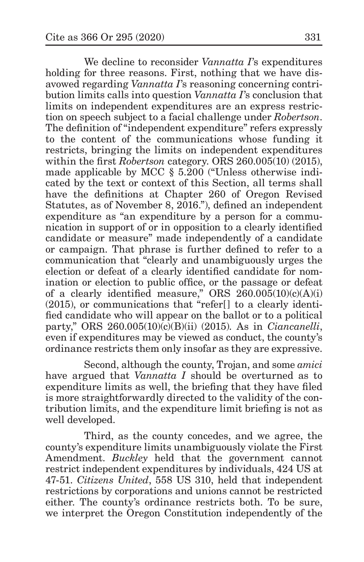We decline to reconsider *Vannatta I*'s expenditures holding for three reasons. First, nothing that we have disavowed regarding *Vannatta I*'s reasoning concerning contribution limits calls into question *Vannatta I*'s conclusion that limits on independent expenditures are an express restriction on speech subject to a facial challenge under *Robertson*. The definition of "independent expenditure" refers expressly to the content of the communications whose funding it restricts, bringing the limits on independent expenditures within the first *Robertson* category. ORS 260.005(10) (2015), made applicable by MCC § 5.200 ("Unless otherwise indicated by the text or context of this Section, all terms shall have the definitions at Chapter 260 of Oregon Revised Statutes, as of November 8, 2016."), defined an independent expenditure as "an expenditure by a person for a communication in support of or in opposition to a clearly identified candidate or measure" made independently of a candidate or campaign. That phrase is further defined to refer to a communication that "clearly and unambiguously urges the election or defeat of a clearly identified candidate for nomination or election to public office, or the passage or defeat of a clearly identified measure," ORS  $260.005(10)(c)(A)(i)$ (2015), or communications that "refer[] to a clearly identified candidate who will appear on the ballot or to a political party," ORS 260.005(10)(c)(B)(ii) (2015). As in *Ciancanelli*, even if expenditures may be viewed as conduct, the county's ordinance restricts them only insofar as they are expressive.

Second, although the county, Trojan, and some *amici* have argued that *Vannatta I* should be overturned as to expenditure limits as well, the briefing that they have filed is more straightforwardly directed to the validity of the contribution limits, and the expenditure limit briefing is not as well developed.

Third, as the county concedes, and we agree, the county's expenditure limits unambiguously violate the First Amendment. *Buckley* held that the government cannot restrict independent expenditures by individuals, 424 US at 47-51. *Citizens United*, 558 US 310, held that independent restrictions by corporations and unions cannot be restricted either. The county's ordinance restricts both. To be sure, we interpret the Oregon Constitution independently of the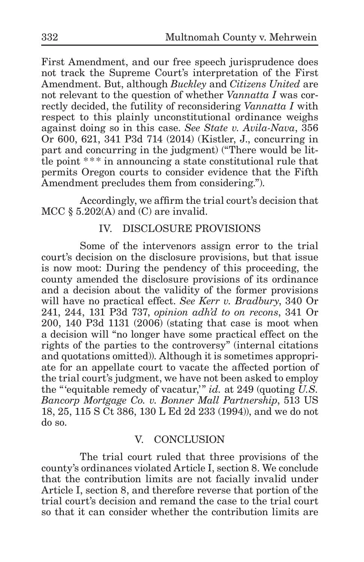First Amendment, and our free speech jurisprudence does not track the Supreme Court's interpretation of the First Amendment. But, although *Buckley* and *Citizens United* are not relevant to the question of whether *Vannatta I* was correctly decided, the futility of reconsidering *Vannatta I* with respect to this plainly unconstitutional ordinance weighs against doing so in this case. *See State v. Avila-Nava*, 356 Or 600, 621, 341 P3d 714 (2014) (Kistler, J., concurring in part and concurring in the judgment) ("There would be little point  $***$  in announcing a state constitutional rule that permits Oregon courts to consider evidence that the Fifth Amendment precludes them from considering.").

Accordingly, we affirm the trial court's decision that MCC  $\S$  5.202(A) and (C) are invalid.

## IV. DISCLOSURE PROVISIONS

Some of the intervenors assign error to the trial court's decision on the disclosure provisions, but that issue is now moot: During the pendency of this proceeding, the county amended the disclosure provisions of its ordinance and a decision about the validity of the former provisions will have no practical effect. *See Kerr v. Bradbury*, 340 Or 241, 244, 131 P3d 737, *opinion adh'd to on recons*, 341 Or 200, 140 P3d 1131 (2006) (stating that case is moot when a decision will "no longer have some practical effect on the rights of the parties to the controversy" (internal citations and quotations omitted)). Although it is sometimes appropriate for an appellate court to vacate the affected portion of the trial court's judgment, we have not been asked to employ the "'equitable remedy of vacatur,'" *id.* at 249 (quoting *U.S. Bancorp Mortgage Co. v. Bonner Mall Partnership*, 513 US 18, 25, 115 S Ct 386, 130 L Ed 2d 233 (1994)), and we do not do so.

## V. CONCLUSION

The trial court ruled that three provisions of the county's ordinances violated Article I, section 8. We conclude that the contribution limits are not facially invalid under Article I, section 8, and therefore reverse that portion of the trial court's decision and remand the case to the trial court so that it can consider whether the contribution limits are